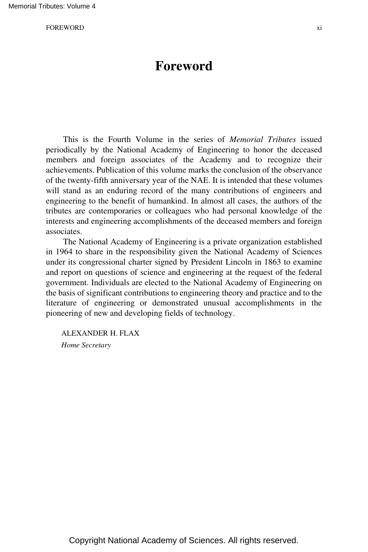## FOREWORD xi

## **Foreword**

This is the Fourth Volume in the series of *Memorial Tributes* issued periodically by the National Academy of Engineering to honor the deceased members and foreign associates of the Academy and to recognize their achievements. Publication of this volume marks the conclusion of the observance of the twenty-fifth anniversary year of the NAE. It is intended that these volumes will stand as an enduring record of the many contributions of engineers and engineering to the benefit of humankind. In almost all cases, the authors of the tributes are contemporaries or colleagues who had personal knowledge of the interests and engineering accomplishments of the deceased members and foreign associates.

The National Academy of Engineering is a private organization established in 1964 to share in the responsibility given the National Academy of Sciences under its congressional charter signed by President Lincoln in 1863 to examine and report on questions of science and engineering at the request of the federal government. Individuals are elected to the National Academy of Engineering on the basis of significant contributions to engineering theory and practice and to the literature of engineering or demonstrated unusual accomplishments in the pioneering of new and developing fields of technology.

ALEXANDER H. FLAX *Home Secretary*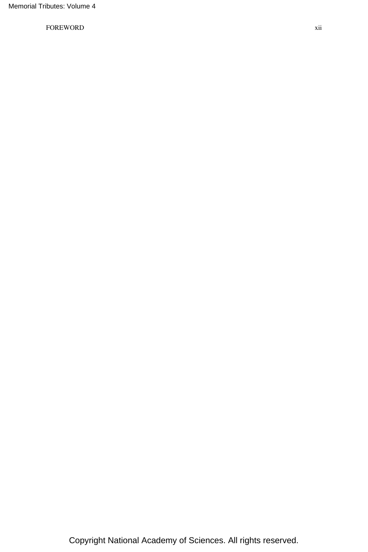## FOREWORD xii

Copyright National Academy of Sciences. All rights reserved.